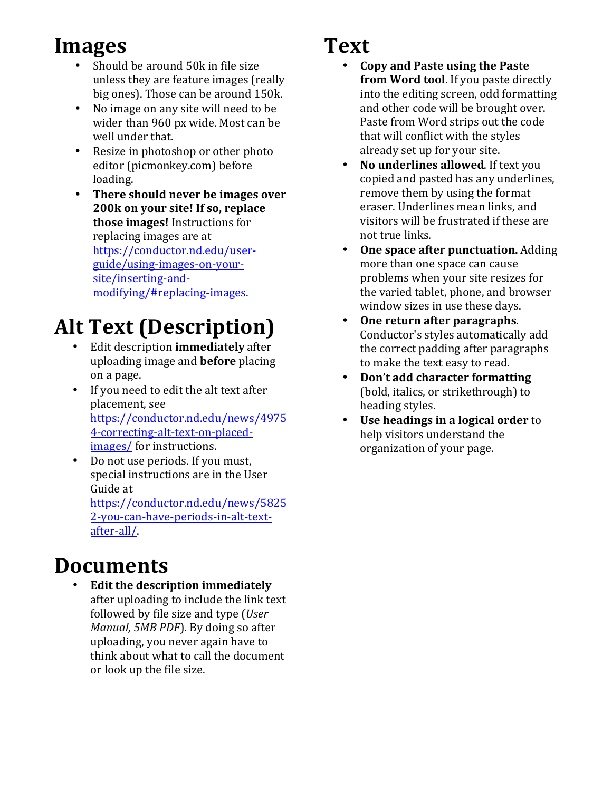## **Images**

- Should be around 50k in file size unless they are feature images (really big ones). Those can be around 150k.
- No image on any site will need to be wider than 960 px wide. Most can be well under that.
- Resize in photoshop or other photo editor (picmonkey.com) before loading.
- There should never be images over **200k on your site! If so, replace those images!** Instructions for replacing images are at https://conductor.nd.edu/userguide/using-images-on-yoursite/inserting-andmodifying/#replacing-images.

# **Alt Text (Description)**

- Edit description **immediately** after uploading image and **before** placing on a page.
- If you need to edit the alt text after placement, see https://conductor.nd.edu/news/4975 4-correcting-alt-text-on-placedimages/ for instructions.
- Do not use periods. If you must, special instructions are in the User Guide at https://conductor.nd.edu/news/5825 2-you-can-have-periods-in-alt-textafter-all/.

#### **Documents**

• **Edit the description immediately** after uploading to include the link text followed by file size and type (*User Manual, 5MB PDF*). By doing so after uploading, you never again have to think about what to call the document or look up the file size.

## **Text**

- **Copy and Paste using the Paste from Word tool**. If you paste directly into the editing screen, odd formatting and other code will be brought over. Paste from Word strips out the code that will conflict with the styles already set up for your site.
- **No underlines allowed**. If text you copied and pasted has any underlines, remove them by using the format eraser. Underlines mean links, and visitors will be frustrated if these are not true links.
- One space after punctuation. Adding more than one space can cause problems when your site resizes for the varied tablet, phone, and browser window sizes in use these days.
- **One return after paragraphs.** Conductor's styles automatically add the correct padding after paragraphs to make the text easy to read.
- Don't add character formatting (bold, italics, or strikethrough) to heading styles.
- **Use headings in a logical order** to help visitors understand the organization of your page.